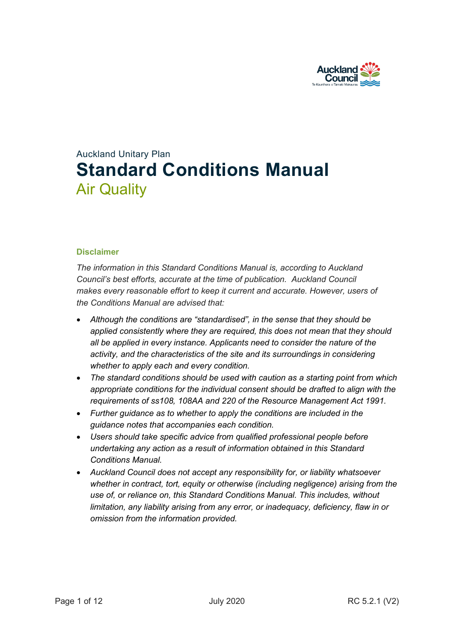

# Auckland Unitary Plan **Standard Conditions Manual** Air Quality

### **Disclaimer**

*The information in this Standard Conditions Manual is, according to Auckland Council's best efforts, accurate at the time of publication. Auckland Council makes every reasonable effort to keep it current and accurate. However, users of the Conditions Manual are advised that:* 

- *Although the conditions are "standardised", in the sense that they should be applied consistently where they are required, this does not mean that they should all be applied in every instance. Applicants need to consider the nature of the activity, and the characteristics of the site and its surroundings in considering whether to apply each and every condition.*
- *The standard conditions should be used with caution as a starting point from which appropriate conditions for the individual consent should be drafted to align with the requirements of ss108, 108AA and 220 of the Resource Management Act 1991.*
- *Further guidance as to whether to apply the conditions are included in the guidance notes that accompanies each condition.*
- *Users should take specific advice from qualified professional people before undertaking any action as a result of information obtained in this Standard Conditions Manual.*
- *Auckland Council does not accept any responsibility for, or liability whatsoever whether in contract, tort, equity or otherwise (including negligence) arising from the use of, or reliance on, this Standard Conditions Manual. This includes, without limitation, any liability arising from any error, or inadequacy, deficiency, flaw in or omission from the information provided.*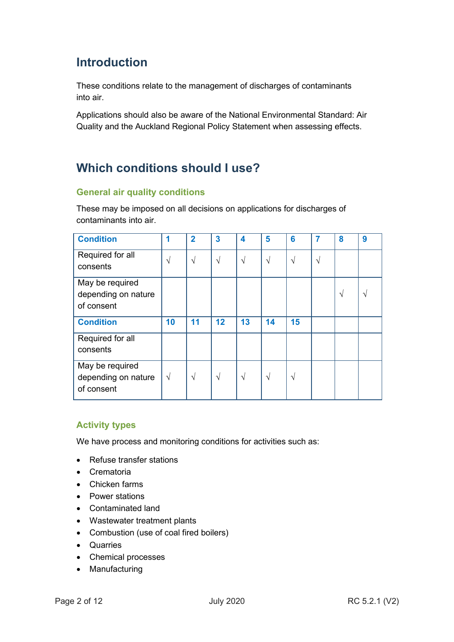## **Introduction**

These conditions relate to the management of discharges of contaminants into air.

Applications should also be aware of the National Environmental Standard: Air Quality and the Auckland Regional Policy Statement when assessing effects.

## **Which conditions should I use?**

## **General air quality conditions**

These may be imposed on all decisions on applications for discharges of contaminants into air.

| <b>Condition</b>                                     |            | 2          | $\mathbf{3}$ | 4          | 5          | 6          |    | 8             | 9 |
|------------------------------------------------------|------------|------------|--------------|------------|------------|------------|----|---------------|---|
| Required for all<br>consents                         | N          | $\sqrt{}$  | N            | $\sqrt{ }$ | $\sqrt{ }$ | $\sqrt{ }$ | ٦Ι |               |   |
| May be required<br>depending on nature<br>of consent |            |            |              |            |            |            |    | $\mathcal{N}$ | N |
| <b>Condition</b>                                     | 10         | 11         | 12           | 13         | 14         | 15         |    |               |   |
| Required for all<br>consents                         |            |            |              |            |            |            |    |               |   |
| May be required<br>depending on nature<br>of consent | $\sqrt{ }$ | $\sqrt{ }$ | $\sqrt{ }$   | $\sqrt{}$  | $\sqrt{ }$ | $\sqrt{ }$ |    |               |   |

## **Activity types**

We have process and monitoring conditions for activities such as:

- Refuse transfer stations
- Crematoria
- Chicken farms
- Power stations
- Contaminated land
- Wastewater treatment plants
- Combustion (use of coal fired boilers)
- Quarries
- Chemical processes
- Manufacturing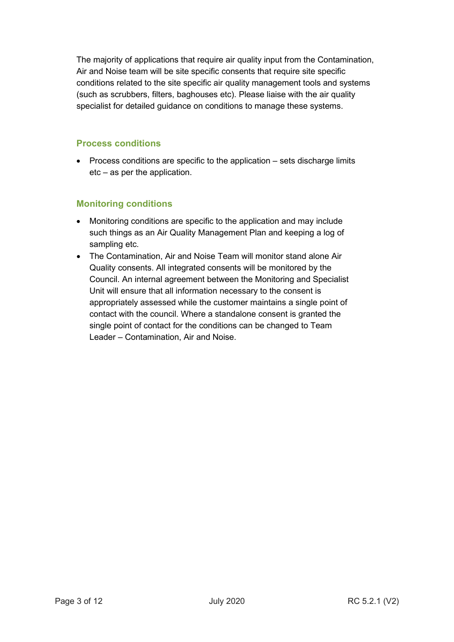The majority of applications that require air quality input from the Contamination, Air and Noise team will be site specific consents that require site specific conditions related to the site specific air quality management tools and systems (such as scrubbers, filters, baghouses etc). Please liaise with the air quality specialist for detailed guidance on conditions to manage these systems.

## **Process conditions**

• Process conditions are specific to the application – sets discharge limits etc – as per the application.

## **Monitoring conditions**

- Monitoring conditions are specific to the application and may include such things as an Air Quality Management Plan and keeping a log of sampling etc.
- The Contamination, Air and Noise Team will monitor stand alone Air Quality consents. All integrated consents will be monitored by the Council. An internal agreement between the Monitoring and Specialist Unit will ensure that all information necessary to the consent is appropriately assessed while the customer maintains a single point of contact with the council. Where a standalone consent is granted the single point of contact for the conditions can be changed to Team Leader – Contamination, Air and Noise.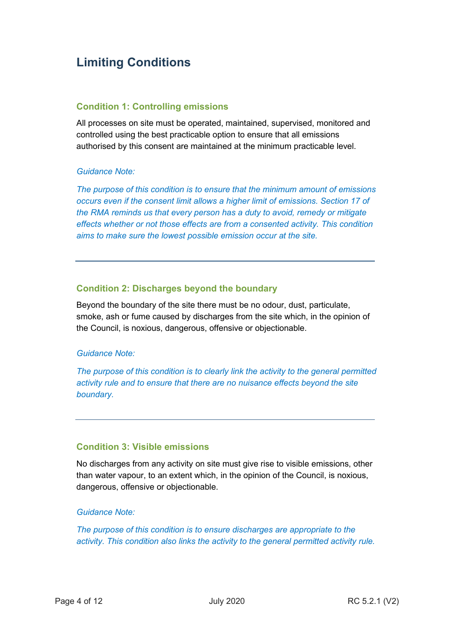## **Limiting Conditions**

### **Condition 1: Controlling emissions**

All processes on site must be operated, maintained, supervised, monitored and controlled using the best practicable option to ensure that all emissions authorised by this consent are maintained at the minimum practicable level.

### *Guidance Note:*

*The purpose of this condition is to ensure that the minimum amount of emissions occurs even if the consent limit allows a higher limit of emissions. Section 17 of the RMA reminds us that every person has a duty to avoid, remedy or mitigate effects whether or not those effects are from a consented activity. This condition aims to make sure the lowest possible emission occur at the site.* 

## **Condition 2: Discharges beyond the boundary**

Beyond the boundary of the site there must be no odour, dust, particulate, smoke, ash or fume caused by discharges from the site which, in the opinion of the Council, is noxious, dangerous, offensive or objectionable.

### *Guidance Note:*

*The purpose of this condition is to clearly link the activity to the general permitted activity rule and to ensure that there are no nuisance effects beyond the site boundary.* 

## **Condition 3: Visible emissions**

No discharges from any activity on site must give rise to visible emissions, other than water vapour, to an extent which, in the opinion of the Council, is noxious, dangerous, offensive or objectionable.

#### *Guidance Note:*

*The purpose of this condition is to ensure discharges are appropriate to the activity. This condition also links the activity to the general permitted activity rule.*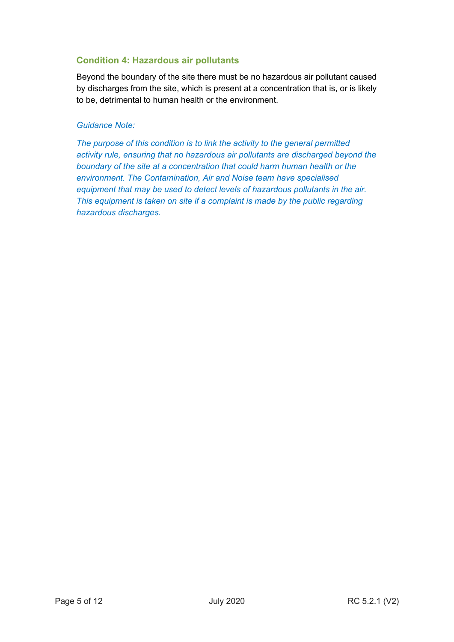## **Condition 4: Hazardous air pollutants**

Beyond the boundary of the site there must be no hazardous air pollutant caused by discharges from the site, which is present at a concentration that is, or is likely to be, detrimental to human health or the environment.

### *Guidance Note:*

*The purpose of this condition is to link the activity to the general permitted activity rule, ensuring that no hazardous air pollutants are discharged beyond the boundary of the site at a concentration that could harm human health or the environment. The Contamination, Air and Noise team have specialised equipment that may be used to detect levels of hazardous pollutants in the air. This equipment is taken on site if a complaint is made by the public regarding hazardous discharges.*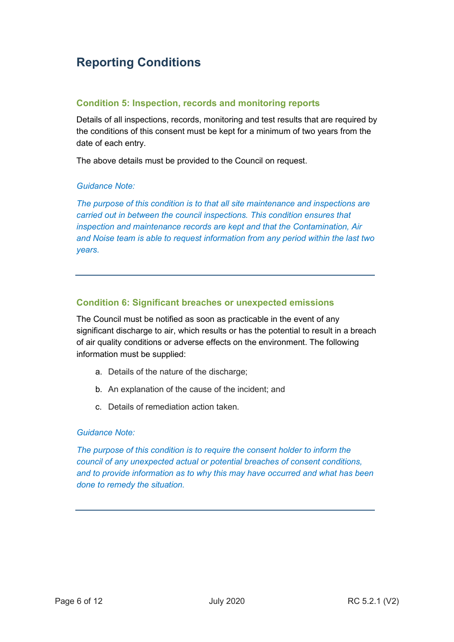## **Reporting Conditions**

### **Condition 5: Inspection, records and monitoring reports**

Details of all inspections, records, monitoring and test results that are required by the conditions of this consent must be kept for a minimum of two years from the date of each entry.

The above details must be provided to the Council on request.

### *Guidance Note:*

*The purpose of this condition is to that all site maintenance and inspections are carried out in between the council inspections. This condition ensures that inspection and maintenance records are kept and that the Contamination, Air and Noise team is able to request information from any period within the last two years.*

## **Condition 6: Significant breaches or unexpected emissions**

The Council must be notified as soon as practicable in the event of any significant discharge to air, which results or has the potential to result in a breach of air quality conditions or adverse effects on the environment. The following information must be supplied:

- a. Details of the nature of the discharge:
- b. An explanation of the cause of the incident; and
- c. Details of remediation action taken.

### *Guidance Note:*

*The purpose of this condition is to require the consent holder to inform the council of any unexpected actual or potential breaches of consent conditions, and to provide information as to why this may have occurred and what has been done to remedy the situation.*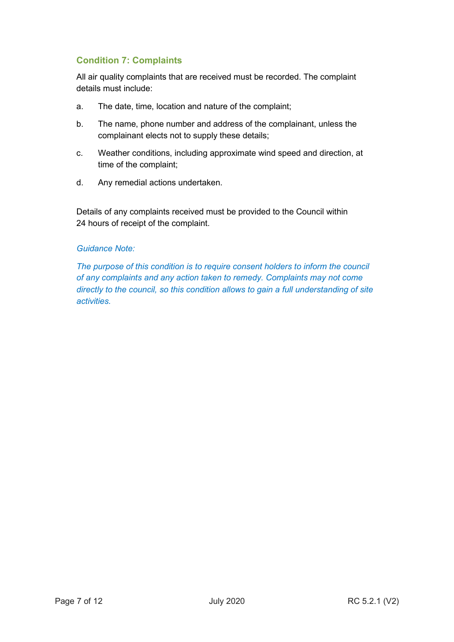## **Condition 7: Complaints**

All air quality complaints that are received must be recorded. The complaint details must include:

- a. The date, time, location and nature of the complaint;
- b. The name, phone number and address of the complainant, unless the complainant elects not to supply these details;
- c. Weather conditions, including approximate wind speed and direction, at time of the complaint;
- d. Any remedial actions undertaken.

Details of any complaints received must be provided to the Council within 24 hours of receipt of the complaint.

### *Guidance Note:*

*The purpose of this condition is to require consent holders to inform the council of any complaints and any action taken to remedy. Complaints may not come directly to the council, so this condition allows to gain a full understanding of site activities.*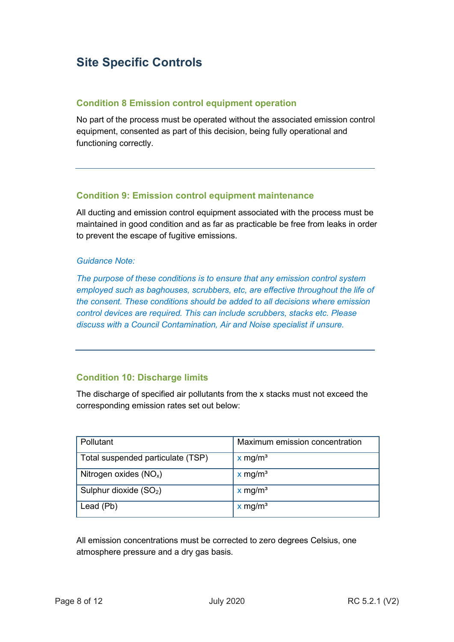## **Site Specific Controls**

### **Condition 8 Emission control equipment operation**

No part of the process must be operated without the associated emission control equipment, consented as part of this decision, being fully operational and functioning correctly.

## **Condition 9: Emission control equipment maintenance**

All ducting and emission control equipment associated with the process must be maintained in good condition and as far as practicable be free from leaks in order to prevent the escape of fugitive emissions.

### *Guidance Note:*

*The purpose of these conditions is to ensure that any emission control system employed such as baghouses, scrubbers, etc, are effective throughout the life of the consent. These conditions should be added to all decisions where emission control devices are required. This can include scrubbers, stacks etc. Please discuss with a Council Contamination, Air and Noise specialist if unsure.* 

## **Condition 10: Discharge limits**

The discharge of specified air pollutants from the x stacks must not exceed the corresponding emission rates set out below:

| Pollutant                          | Maximum emission concentration |
|------------------------------------|--------------------------------|
| Total suspended particulate (TSP)  | $x$ mg/m <sup>3</sup>          |
| Nitrogen oxides $(NOx)$            | $x$ mg/m <sup>3</sup>          |
| Sulphur dioxide (SO <sub>2</sub> ) | $x$ mg/m <sup>3</sup>          |
| Lead (Pb)                          | $x$ mg/m <sup>3</sup>          |

All emission concentrations must be corrected to zero degrees Celsius, one atmosphere pressure and a dry gas basis.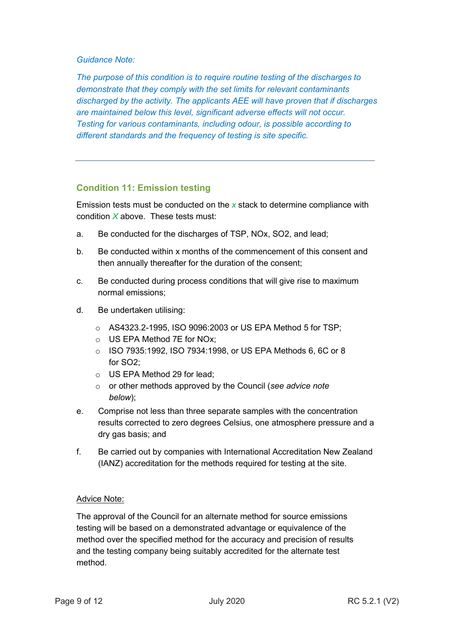#### *Guidance Note:*

*The purpose of this condition is to require routine testing of the discharges to demonstrate that they comply with the set limits for relevant contaminants discharged by the activity. The applicants AEE will have proven that if discharges are maintained below this level, significant adverse effects will not occur. Testing for various contaminants, including odour, is possible according to different standards and the frequency of testing is site specific.*

### **Condition 11: Emission testing**

Emission tests must be conducted on the *x* stack to determine compliance with condition *X* above. These tests must:

- a. Be conducted for the discharges of TSP, NOx, SO2, and lead;
- b. Be conducted within x months of the commencement of this consent and then annually thereafter for the duration of the consent;
- c. Be conducted during process conditions that will give rise to maximum normal emissions;
- d. Be undertaken utilising:
	- o AS4323.2-1995, ISO 9096:2003 or US EPA Method 5 for TSP;
	- o US EPA Method 7E for NOx;
	- o ISO 7935:1992, ISO 7934:1998, or US EPA Methods 6, 6C or 8 for SO2;
	- o US EPA Method 29 for lead;
	- o or other methods approved by the Council (*see advice note below*);
- e. Comprise not less than three separate samples with the concentration results corrected to zero degrees Celsius, one atmosphere pressure and a dry gas basis; and
- f. Be carried out by companies with International Accreditation New Zealand (IANZ) accreditation for the methods required for testing at the site.

#### Advice Note:

The approval of the Council for an alternate method for source emissions testing will be based on a demonstrated advantage or equivalence of the method over the specified method for the accuracy and precision of results and the testing company being suitably accredited for the alternate test method.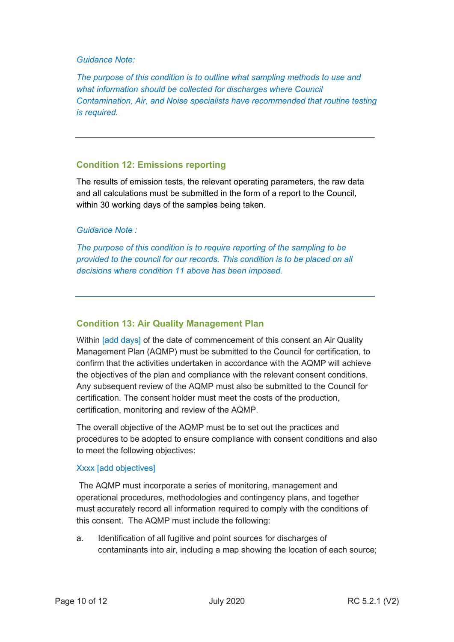#### *Guidance Note:*

*The purpose of this condition is to outline what sampling methods to use and*  what information should be collected for discharges where Council *Contamination, Air, and Noise specialists have recommended that routine testing is required.*

### **Condition 12: Emissions reporting**

The results of emission tests, the relevant operating parameters, the raw data and all calculations must be submitted in the form of a report to the Council, within 30 working days of the samples being taken.

### *Guidance Note :*

*The purpose of this condition is to require reporting of the sampling to be provided to the council for our records. This condition is to be placed on all decisions where condition 11 above has been imposed.* 

## **Condition 13: Air Quality Management Plan**

Within [add days] of the date of commencement of this consent an Air Quality Management Plan (AQMP) must be submitted to the Council for certification, to confirm that the activities undertaken in accordance with the AQMP will achieve the objectives of the plan and compliance with the relevant consent conditions. Any subsequent review of the AQMP must also be submitted to the Council for certification. The consent holder must meet the costs of the production, certification, monitoring and review of the AQMP.

The overall objective of the AQMP must be to set out the practices and procedures to be adopted to ensure compliance with consent conditions and also to meet the following objectives:

### Xxxx [add objectives]

The AQMP must incorporate a series of monitoring, management and operational procedures, methodologies and contingency plans, and together must accurately record all information required to comply with the conditions of this consent. The AQMP must include the following:

a. Identification of all fugitive and point sources for discharges of contaminants into air, including a map showing the location of each source;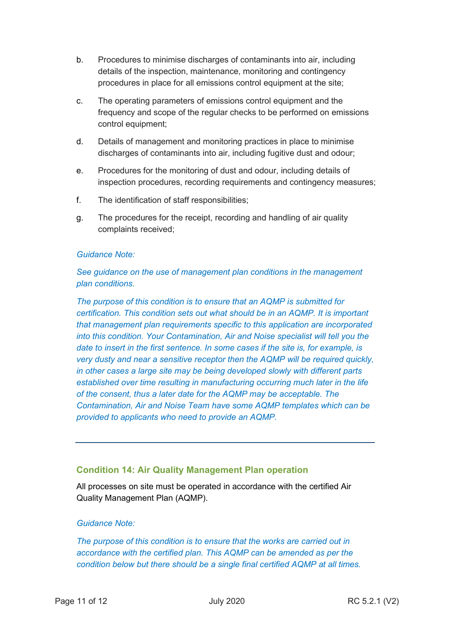- b. Procedures to minimise discharges of contaminants into air, including details of the inspection, maintenance, monitoring and contingency procedures in place for all emissions control equipment at the site;
- c. The operating parameters of emissions control equipment and the frequency and scope of the regular checks to be performed on emissions control equipment;
- d. Details of management and monitoring practices in place to minimise discharges of contaminants into air, including fugitive dust and odour;
- e. Procedures for the monitoring of dust and odour, including details of inspection procedures, recording requirements and contingency measures;
- f. The identification of staff responsibilities;
- g. The procedures for the receipt, recording and handling of air quality complaints received;

### *Guidance Note:*

*See guidance on the use of management plan conditions in the management plan conditions.*

*The purpose of this condition is to ensure that an AQMP is submitted for certification. This condition sets out what should be in an AQMP. It is important that management plan requirements specific to this application are incorporated into this condition. Your Contamination, Air and Noise specialist will tell you the date to insert in the first sentence. In some cases if the site is, for example, is very dusty and near a sensitive receptor then the AQMP will be required quickly, in other cases a large site may be being developed slowly with different parts established over time resulting in manufacturing occurring much later in the life of the consent, thus a later date for the AQMP may be acceptable. The Contamination, Air and Noise Team have some AQMP templates which can be provided to applicants who need to provide an AQMP.*

## **Condition 14: Air Quality Management Plan operation**

All processes on site must be operated in accordance with the certified Air Quality Management Plan (AQMP).

## *Guidance Note:*

*The purpose of this condition is to ensure that the works are carried out in accordance with the certified plan. This AQMP can be amended as per the condition below but there should be a single final certified AQMP at all times.*